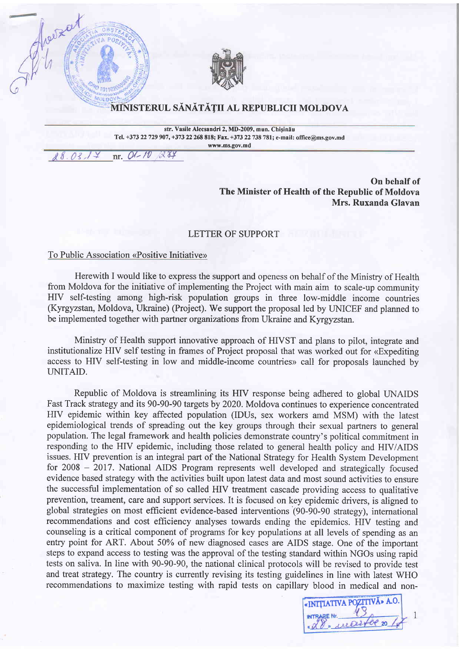

## MINISTERUL SĂNĂTĂȚII AL REPUBLICII MOLDOVA

str. Vasile Alecsandri 2, MD-2009, mun. Chisinău Tel. +373 22 729 907, +373 22 268 818; Fax. +373 22 738 781; e-mail: office@ms.gov.md www.ms.gov.md

O1-10 284  $03.$ nr.

Show at

On behalf of The Minister of Health of the Republic of Moldova Mrs. Ruxanda Glavan

## LETTER OF SUPPORT

To Public Association «Positive Initiative»

Herewith I would like to express the support and openess on behalf of the Ministry of Health from Moldova for the initiative of implementing the Project with main aim to scale-up community HIV self-testing among high-risk population groups in three low-middle income countries (Kyrgyzstan, Moldova, Ukraine) (Project). We support the proposal led by UNICEF and planned to be implemented together with partner organizations from Ukraine and Kyrgyzstan.

Ministry of Health support innovative approach of HIVST and plans to pilot, integrate and institutionalize HIV self testing in frames of Project proposal that was worked out for «Expediting access to HIV self-testing in low and middle-income countries» call for proposals launched by UNITAID.

Republic of Moldova is streamlining its HIV response being adhered to global UNAIDS Fast Track strategy and its 90-90-90 targets by 2020. Moldova continues to experience concentrated HIV epidemic within key affected population (IDUs, sex workers amd MSM) with the latest epidemiological trends of spreading out the key groups through their sexual partners to general population. The legal framework and health policies demonstrate country's political commitment in responding to the HIV epidemic, including those related to general health policy and HIV/AIDS issues. HIV prevention is an integral part of the National Strategy for Health System Development for 2008 - 2017. National AIDS Program represents well developed and strategically focused evidence based strategy with the activities built upon latest data and most sound activities to ensure the successful implementation of so called HIV treatment cascade providing access to qualitative prevention, treament, care and support services. It is focused on key epidemic drivers, is aligned to global strategies on most efficient evidence-based interventions (90-90-90 strategy), international recommendations and cost efficiency analyses towards ending the epidemics. HIV testing and counseling is a critical component of programs for key populations at all levels of spending as an entry point for ART. About 50% of new diagnosed cases are AIDS stage. One of the important steps to expand access to testing was the approval of the testing standard within NGOs using rapid tests on saliva. In line with 90-90-90, the national clinical protocols will be revised to provide test and treat strategy. The country is currently revising its testing guidelines in line with latest WHO recommendations to maximize testing with rapid tests on capillary blood in medical and non-

«INITIATIVA POZITIVĂ» A.O.  $\mathbf{1}$ " mary